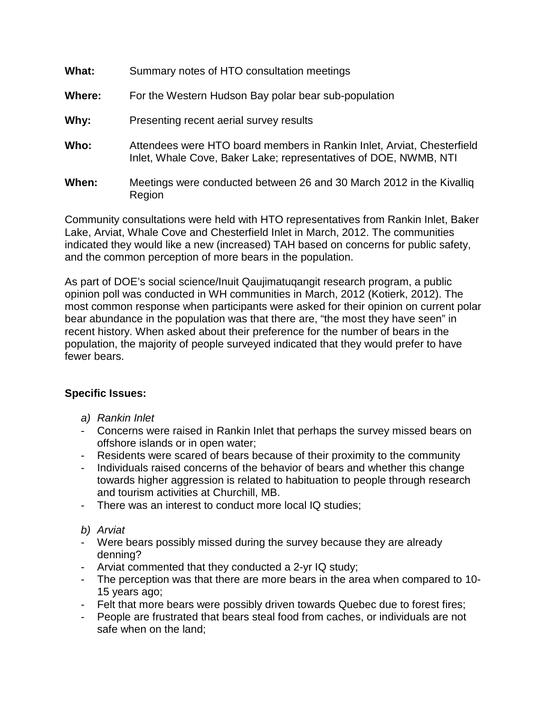| What:  | Summary notes of HTO consultation meetings                                                                                                 |
|--------|--------------------------------------------------------------------------------------------------------------------------------------------|
| Where: | For the Western Hudson Bay polar bear sub-population                                                                                       |
| Why:   | Presenting recent aerial survey results                                                                                                    |
| Who:   | Attendees were HTO board members in Rankin Inlet, Arviat, Chesterfield<br>Inlet, Whale Cove, Baker Lake; representatives of DOE, NWMB, NTI |
| When:  | Meetings were conducted between 26 and 30 March 2012 in the Kivallig<br>Region                                                             |

Community consultations were held with HTO representatives from Rankin Inlet, Baker Lake, Arviat, Whale Cove and Chesterfield Inlet in March, 2012. The communities indicated they would like a new (increased) TAH based on concerns for public safety, and the common perception of more bears in the population.

As part of DOE's social science/Inuit Qaujimatuqangit research program, a public opinion poll was conducted in WH communities in March, 2012 (Kotierk, 2012). The most common response when participants were asked for their opinion on current polar bear abundance in the population was that there are, "the most they have seen" in recent history. When asked about their preference for the number of bears in the population, the majority of people surveyed indicated that they would prefer to have fewer bears.

## **Specific Issues:**

- *a) Rankin Inlet*
- Concerns were raised in Rankin Inlet that perhaps the survey missed bears on offshore islands or in open water;
- Residents were scared of bears because of their proximity to the community
- Individuals raised concerns of the behavior of bears and whether this change towards higher aggression is related to habituation to people through research and tourism activities at Churchill, MB.
- There was an interest to conduct more local IQ studies;
- *b) Arviat*
- Were bears possibly missed during the survey because they are already denning?
- Arviat commented that they conducted a 2-yr IQ study;
- The perception was that there are more bears in the area when compared to 10- 15 years ago;
- Felt that more bears were possibly driven towards Quebec due to forest fires;
- People are frustrated that bears steal food from caches, or individuals are not safe when on the land;